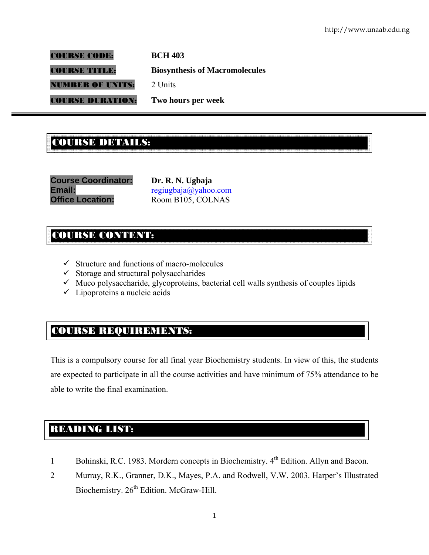COURSE CODE: **BCH 403** 

COURSE TITLE: **Biosynthesis of Macromolecules** 

NUMBER OF UNITS: 2 Units

COURSE DURATION: **Two hours per week** 

# .<br>Course de la course de la compagne de la course de la course de la course de la course de la course de la cours COURSE DETAILS:

**Course Coordinator: Dr. R. N. Ugbaja Email: regiugbaja@yahoo.com Office Location:** Room B105, COLNAS

# COURSE CONTENT:

- $\checkmark$  Structure and functions of macro-molecules
- $\checkmark$  Storage and structural polysaccharides
- $\checkmark$  Muco polysaccharide, glycoproteins, bacterial cell walls synthesis of couples lipids
- $\checkmark$  Lipoproteins a nucleic acids

# COURSE REQUIREMENTS:

This is a compulsory course for all final year Biochemistry students. In view of this, the students are expected to participate in all the course activities and have minimum of 75% attendance to be able to write the final examination.

# READING LIST:

- 1 Bohinski, R.C. 1983. Mordern concepts in Biochemistry. 4<sup>th</sup> Edition. Allyn and Bacon.
- 2 Murray, R.K., Granner, D.K., Mayes, P.A. and Rodwell, V.W. 2003. Harper's Illustrated Biochemistry. 26<sup>th</sup> Edition. McGraw-Hill.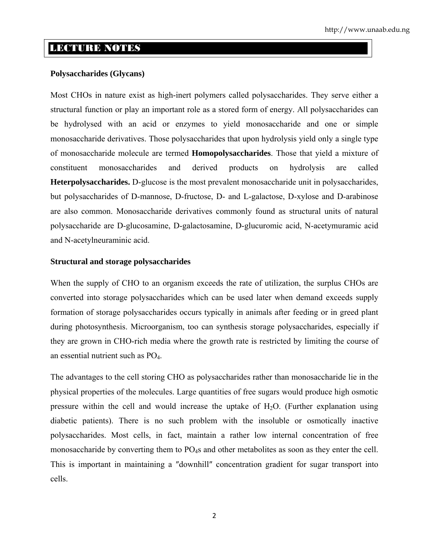# LECTURE NOTES

#### **Polysaccharides (Glycans)**

Most CHOs in nature exist as high-inert polymers called polysaccharides. They serve either a structural function or play an important role as a stored form of energy. All polysaccharides can be hydrolysed with an acid or enzymes to yield monosaccharide and one or simple monosaccharide derivatives. Those polysaccharides that upon hydrolysis yield only a single type of monosaccharide molecule are termed **Homopolysaccharides**. Those that yield a mixture of constituent monosaccharides and derived products on hydrolysis are called **Heterpolysaccharides.** D-glucose is the most prevalent monosaccharide unit in polysaccharides, but polysaccharides of D-mannose, D-fructose, D- and L-galactose, D-xylose and D-arabinose are also common. Monosaccharide derivatives commonly found as structural units of natural polysaccharide are D-glucosamine, D-galactosamine, D-glucuromic acid, N-acetymuramic acid and N-acetylneuraminic acid.

#### **Structural and storage polysaccharides**

When the supply of CHO to an organism exceeds the rate of utilization, the surplus CHOs are converted into storage polysaccharides which can be used later when demand exceeds supply formation of storage polysaccharides occurs typically in animals after feeding or in greed plant during photosynthesis. Microorganism, too can synthesis storage polysaccharides, especially if they are grown in CHO-rich media where the growth rate is restricted by limiting the course of an essential nutrient such as PO<sub>4</sub>.

The advantages to the cell storing CHO as polysaccharides rather than monosaccharide lie in the physical properties of the molecules. Large quantities of free sugars would produce high osmotic pressure within the cell and would increase the uptake of  $H<sub>2</sub>O$ . (Further explanation using diabetic patients). There is no such problem with the insoluble or osmotically inactive polysaccharides. Most cells, in fact, maintain a rather low internal concentration of free monosaccharide by converting them to PO<sub>4</sub>s and other metabolites as soon as they enter the cell. This is important in maintaining a ″downhill″ concentration gradient for sugar transport into cells.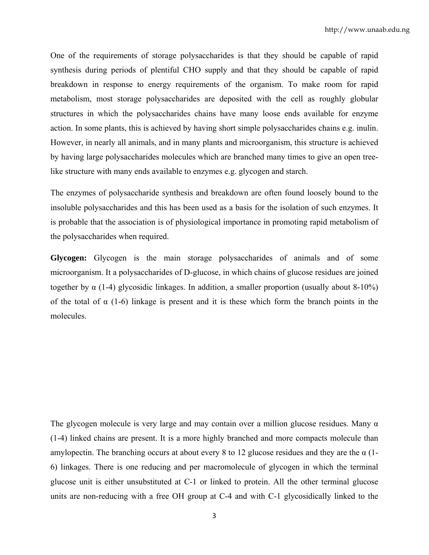One of the requirements of storage polysaccharides is that they should be capable of rapid synthesis during periods of plentiful CHO supply and that they should be capable of rapid breakdown in response to energy requirements of the organism. To make room for rapid metabolism, most storage polysaccharides are deposited with the cell as roughly globular structures in which the polysaccharides chains have many loose ends available for enzyme action. In some plants, this is achieved by having short simple polysaccharides chains e.g. inulin. However, in nearly all animals, and in many plants and microorganism, this structure is achieved by having large polysaccharides molecules which are branched many times to give an open treelike structure with many ends available to enzymes e.g. glycogen and starch.

The enzymes of polysaccharide synthesis and breakdown are often found loosely bound to the insoluble polysaccharides and this has been used as a basis for the isolation of such enzymes. It is probable that the association is of physiological importance in promoting rapid metabolism of the polysaccharides when required.

**Glycogen:** Glycogen is the main storage polysaccharides of animals and of some microorganism. It a polysaccharides of D-glucose, in which chains of glucose residues are joined together by α (1-4) glycosidic linkages. In addition, a smaller proportion (usually about 8-10%) of the total of  $\alpha$  (1-6) linkage is present and it is these which form the branch points in the molecules.

The glycogen molecule is very large and may contain over a million glucose residues. Many  $\alpha$ (1-4) linked chains are present. It is a more highly branched and more compacts molecule than amylopectin. The branching occurs at about every 8 to 12 glucose residues and they are the  $\alpha$  (1-6) linkages. There is one reducing and per macromolecule of glycogen in which the terminal glucose unit is either unsubstituted at C-1 or linked to protein. All the other terminal glucose units are non-reducing with a free OH group at C-4 and with C-1 glycosidically linked to the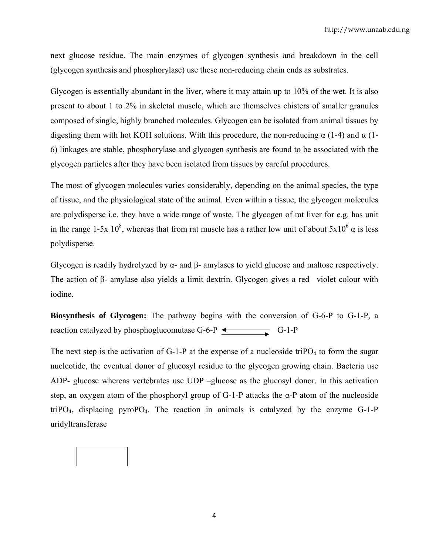next glucose residue. The main enzymes of glycogen synthesis and breakdown in the cell (glycogen synthesis and phosphorylase) use these non-reducing chain ends as substrates.

Glycogen is essentially abundant in the liver, where it may attain up to 10% of the wet. It is also present to about 1 to 2% in skeletal muscle, which are themselves chisters of smaller granules composed of single, highly branched molecules. Glycogen can be isolated from animal tissues by digesting them with hot KOH solutions. With this procedure, the non-reducing  $\alpha$  (1-4) and  $\alpha$  (1-6) linkages are stable, phosphorylase and glycogen synthesis are found to be associated with the glycogen particles after they have been isolated from tissues by careful procedures.

The most of glycogen molecules varies considerably, depending on the animal species, the type of tissue, and the physiological state of the animal. Even within a tissue, the glycogen molecules are polydisperse i.e. they have a wide range of waste. The glycogen of rat liver for e.g. has unit in the range 1-5x 10<sup>8</sup>, whereas that from rat muscle has a rather low unit of about  $5x10^6$   $\alpha$  is less polydisperse.

Glycogen is readily hydrolyzed by  $\alpha$ - and  $\beta$ - amylases to yield glucose and maltose respectively. The action of β- amylase also yields a limit dextrin. Glycogen gives a red –violet colour with iodine.

**Biosynthesis of Glycogen:** The pathway begins with the conversion of G-6-P to G-1-P, a reaction catalyzed by phosphoglucomutase G-6-P  $\triangleleft$  G-1-P

The next step is the activation of G-1-P at the expense of a nucleoside triPO<sub>4</sub> to form the sugar nucleotide, the eventual donor of glucosyl residue to the glycogen growing chain. Bacteria use ADP- glucose whereas vertebrates use UDP –glucose as the glucosyl donor. In this activation step, an oxygen atom of the phosphoryl group of G-1-P attacks the α-P atom of the nucleoside triPO<sub>4</sub>, displacing pyroPO<sub>4</sub>. The reaction in animals is catalyzed by the enzyme G-1-P uridyltransferase

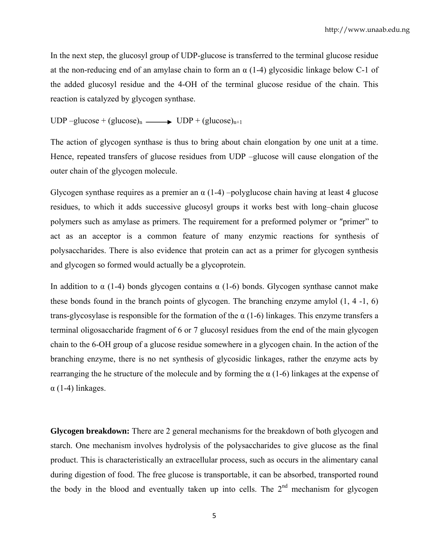In the next step, the glucosyl group of UDP-glucose is transferred to the terminal glucose residue at the non-reducing end of an amylase chain to form an  $\alpha$  (1-4) glycosidic linkage below C-1 of the added glucosyl residue and the 4-OH of the terminal glucose residue of the chain. This reaction is catalyzed by glycogen synthase.

UDP –glucose + (glucose)<sub>n</sub> —  $\bullet$  UDP + (glucose)<sub>n+1</sub>

The action of glycogen synthase is thus to bring about chain elongation by one unit at a time. Hence, repeated transfers of glucose residues from UDP –glucose will cause elongation of the outer chain of the glycogen molecule.

Glycogen synthase requires as a premier an  $\alpha$  (1-4) –polyglucose chain having at least 4 glucose residues, to which it adds successive glucosyl groups it works best with long–chain glucose polymers such as amylase as primers. The requirement for a preformed polymer or ″primer" to act as an acceptor is a common feature of many enzymic reactions for synthesis of polysaccharides. There is also evidence that protein can act as a primer for glycogen synthesis and glycogen so formed would actually be a glycoprotein.

In addition to  $\alpha$  (1-4) bonds glycogen contains  $\alpha$  (1-6) bonds. Glycogen synthase cannot make these bonds found in the branch points of glycogen. The branching enzyme amylol (1, 4 -1, 6) trans-glycosylase is responsible for the formation of the  $\alpha$  (1-6) linkages. This enzyme transfers a terminal oligosaccharide fragment of 6 or 7 glucosyl residues from the end of the main glycogen chain to the 6-OH group of a glucose residue somewhere in a glycogen chain. In the action of the branching enzyme, there is no net synthesis of glycosidic linkages, rather the enzyme acts by rearranging the he structure of the molecule and by forming the  $\alpha$  (1-6) linkages at the expense of  $\alpha$  (1-4) linkages.

**Glycogen breakdown:** There are 2 general mechanisms for the breakdown of both glycogen and starch. One mechanism involves hydrolysis of the polysaccharides to give glucose as the final product. This is characteristically an extracellular process, such as occurs in the alimentary canal during digestion of food. The free glucose is transportable, it can be absorbed, transported round the body in the blood and eventually taken up into cells. The  $2<sup>nd</sup>$  mechanism for glycogen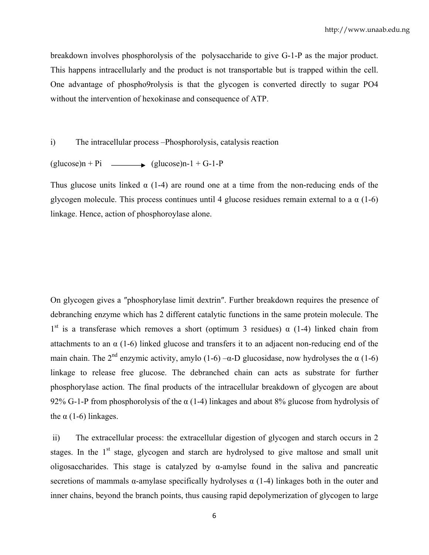breakdown involves phosphorolysis of the polysaccharide to give G-1-P as the major product. This happens intracellularly and the product is not transportable but is trapped within the cell. One advantage of phospho9rolysis is that the glycogen is converted directly to sugar PO4 without the intervention of hexokinase and consequence of ATP.

i) The intracellular process –Phosphorolysis, catalysis reaction

 $\text{(glucose)}n + \text{Pi}$  (glucose)n-1 + G-1-P

Thus glucose units linked  $\alpha$  (1-4) are round one at a time from the non-reducing ends of the glycogen molecule. This process continues until 4 glucose residues remain external to a  $\alpha$  (1-6) linkage. Hence, action of phosphoroylase alone.

On glycogen gives a ″phosphorylase limit dextrin″. Further breakdown requires the presence of debranching enzyme which has 2 different catalytic functions in the same protein molecule. The 1<sup>st</sup> is a transferase which removes a short (optimum 3 residues)  $\alpha$  (1-4) linked chain from attachments to an  $\alpha$  (1-6) linked glucose and transfers it to an adjacent non-reducing end of the main chain. The 2<sup>nd</sup> enzymic activity, amylo (1-6) – $\alpha$ -D glucosidase, now hydrolyses the  $\alpha$  (1-6) linkage to release free glucose. The debranched chain can acts as substrate for further phosphorylase action. The final products of the intracellular breakdown of glycogen are about 92% G-1-P from phosphorolysis of the  $\alpha$  (1-4) linkages and about 8% glucose from hydrolysis of the  $\alpha$  (1-6) linkages.

 ii) The extracellular process: the extracellular digestion of glycogen and starch occurs in 2 stages. In the  $1<sup>st</sup>$  stage, glycogen and starch are hydrolysed to give maltose and small unit oligosaccharides. This stage is catalyzed by  $\alpha$ -amylse found in the saliva and pancreatic secretions of mammals  $\alpha$ -amylase specifically hydrolyses  $\alpha$  (1-4) linkages both in the outer and inner chains, beyond the branch points, thus causing rapid depolymerization of glycogen to large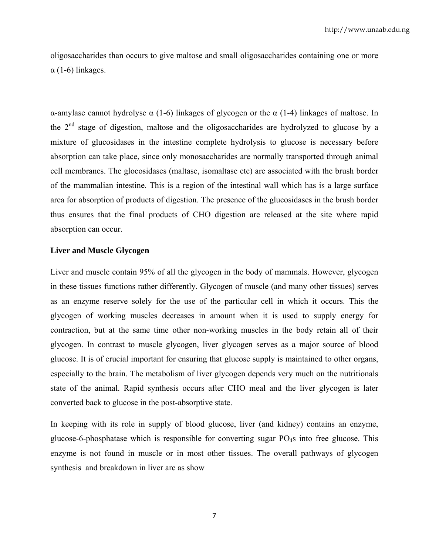oligosaccharides than occurs to give maltose and small oligosaccharides containing one or more α (1-6) linkages.

α-amylase cannot hydrolyse α (1-6) linkages of glycogen or the α (1-4) linkages of maltose. In the  $2<sup>nd</sup>$  stage of digestion, maltose and the oligosaccharides are hydrolyzed to glucose by a mixture of glucosidases in the intestine complete hydrolysis to glucose is necessary before absorption can take place, since only monosaccharides are normally transported through animal cell membranes. The glocosidases (maltase, isomaltase etc) are associated with the brush border of the mammalian intestine. This is a region of the intestinal wall which has is a large surface area for absorption of products of digestion. The presence of the glucosidases in the brush border thus ensures that the final products of CHO digestion are released at the site where rapid absorption can occur.

#### **Liver and Muscle Glycogen**

Liver and muscle contain 95% of all the glycogen in the body of mammals. However, glycogen in these tissues functions rather differently. Glycogen of muscle (and many other tissues) serves as an enzyme reserve solely for the use of the particular cell in which it occurs. This the glycogen of working muscles decreases in amount when it is used to supply energy for contraction, but at the same time other non-working muscles in the body retain all of their glycogen. In contrast to muscle glycogen, liver glycogen serves as a major source of blood glucose. It is of crucial important for ensuring that glucose supply is maintained to other organs, especially to the brain. The metabolism of liver glycogen depends very much on the nutritionals state of the animal. Rapid synthesis occurs after CHO meal and the liver glycogen is later converted back to glucose in the post-absorptive state.

In keeping with its role in supply of blood glucose, liver (and kidney) contains an enzyme, glucose-6-phosphatase which is responsible for converting sugar PO4s into free glucose. This enzyme is not found in muscle or in most other tissues. The overall pathways of glycogen synthesis and breakdown in liver are as show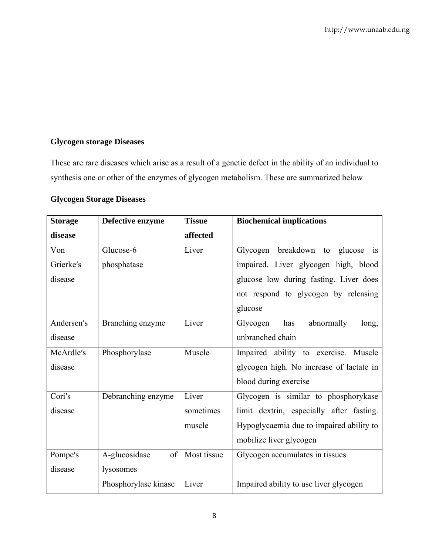# **Glycogen storage Diseases**

These are rare diseases which arise as a result of a genetic defect in the ability of an individual to synthesis one or other of the enzymes of glycogen metabolism. These are summarized below

# **Glycogen Storage Diseases**

| <b>Storage</b> | Defective enzyme     | <b>Tissue</b> | <b>Biochemical implications</b>                           |
|----------------|----------------------|---------------|-----------------------------------------------------------|
| disease        |                      | affected      |                                                           |
| Von            | Glucose-6            | Liver         | breakdown<br>glucose<br>Glycogen<br>to<br>$\overline{1}S$ |
| Grierke's      | phosphatase          |               | impaired. Liver glycogen high, blood                      |
| disease        |                      |               | glucose low during fasting. Liver does                    |
|                |                      |               | not respond to glycogen by releasing                      |
|                |                      |               | glucose                                                   |
| Andersen's     | Branching enzyme     | Liver         | has<br>abnormally<br>Glycogen<br>long,                    |
| disease        |                      |               | unbranched chain                                          |
| McArdle's      | Phosphorylase        | Muscle        | Impaired ability to exercise. Muscle                      |
| disease        |                      |               | glycogen high. No increase of lactate in                  |
|                |                      |               | blood during exercise                                     |
| Cori's         | Debranching enzyme   | Liver         | Glycogen is similar to phosphorykase                      |
| disease        |                      | sometimes     | limit dextrin, especially after fasting.                  |
|                |                      | muscle        | Hypoglycaemia due to impaired ability to                  |
|                |                      |               | mobilize liver glycogen                                   |
| Pompe's        | A-glucosidase<br>of  | Most tissue   | Glycogen accumulates in tissues                           |
| disease        | lysosomes            |               |                                                           |
|                | Phosphorylase kinase | Liver         | Impaired ability to use liver glycogen                    |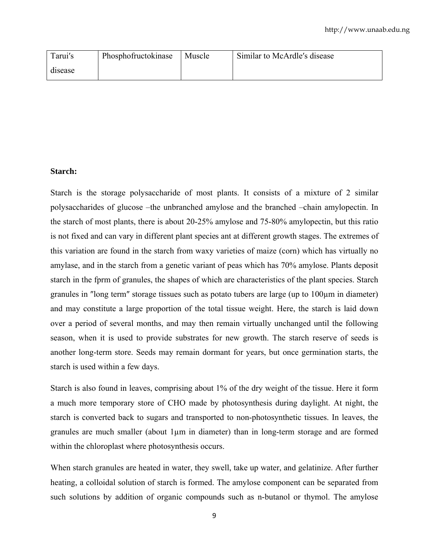| Tarui's | Phosphofructokinase | Muscle | Similar to McArdle's disease |
|---------|---------------------|--------|------------------------------|
| disease |                     |        |                              |

# **Starch:**

Starch is the storage polysaccharide of most plants. It consists of a mixture of 2 similar polysaccharides of glucose –the unbranched amylose and the branched –chain amylopectin. In the starch of most plants, there is about 20-25% amylose and 75-80% amylopectin, but this ratio is not fixed and can vary in different plant species ant at different growth stages. The extremes of this variation are found in the starch from waxy varieties of maize (corn) which has virtually no amylase, and in the starch from a genetic variant of peas which has 70% amylose. Plants deposit starch in the fprm of granules, the shapes of which are characteristics of the plant species. Starch granules in ″long term″ storage tissues such as potato tubers are large (up to 100µm in diameter) and may constitute a large proportion of the total tissue weight. Here, the starch is laid down over a period of several months, and may then remain virtually unchanged until the following season, when it is used to provide substrates for new growth. The starch reserve of seeds is another long-term store. Seeds may remain dormant for years, but once germination starts, the starch is used within a few days.

Starch is also found in leaves, comprising about 1% of the dry weight of the tissue. Here it form a much more temporary store of CHO made by photosynthesis during daylight. At night, the starch is converted back to sugars and transported to non-photosynthetic tissues. In leaves, the granules are much smaller (about 1µm in diameter) than in long-term storage and are formed within the chloroplast where photosynthesis occurs.

When starch granules are heated in water, they swell, take up water, and gelatinize. After further heating, a colloidal solution of starch is formed. The amylose component can be separated from such solutions by addition of organic compounds such as n-butanol or thymol. The amylose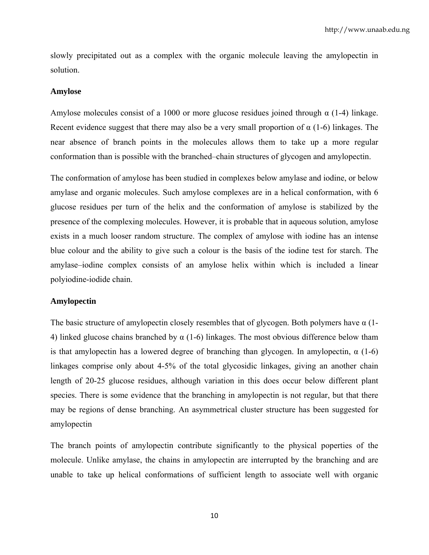slowly precipitated out as a complex with the organic molecule leaving the amylopectin in solution.

#### **Amylose**

Amylose molecules consist of a 1000 or more glucose residues joined through  $\alpha$  (1-4) linkage. Recent evidence suggest that there may also be a very small proportion of  $\alpha$  (1-6) linkages. The near absence of branch points in the molecules allows them to take up a more regular conformation than is possible with the branched–chain structures of glycogen and amylopectin.

The conformation of amylose has been studied in complexes below amylase and iodine, or below amylase and organic molecules. Such amylose complexes are in a helical conformation, with 6 glucose residues per turn of the helix and the conformation of amylose is stabilized by the presence of the complexing molecules. However, it is probable that in aqueous solution, amylose exists in a much looser random structure. The complex of amylose with iodine has an intense blue colour and the ability to give such a colour is the basis of the iodine test for starch. The amylase–iodine complex consists of an amylose helix within which is included a linear polyiodine-iodide chain.

#### **Amylopectin**

The basic structure of amylopectin closely resembles that of glycogen. Both polymers have  $\alpha$  (1-4) linked glucose chains branched by  $\alpha$  (1-6) linkages. The most obvious difference below tham is that amylopectin has a lowered degree of branching than glycogen. In amylopectin,  $\alpha$  (1-6) linkages comprise only about 4-5% of the total glycosidic linkages, giving an another chain length of 20-25 glucose residues, although variation in this does occur below different plant species. There is some evidence that the branching in amylopectin is not regular, but that there may be regions of dense branching. An asymmetrical cluster structure has been suggested for amylopectin

The branch points of amylopectin contribute significantly to the physical poperties of the molecule. Unlike amylase, the chains in amylopectin are interrupted by the branching and are unable to take up helical conformations of sufficient length to associate well with organic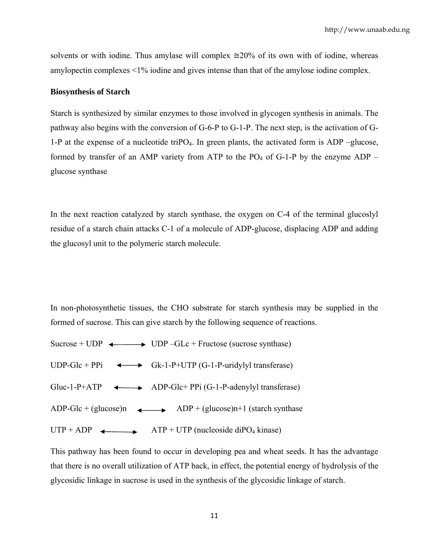solvents or with iodine. Thus amylase will complex  $\approx 20\%$  of its own with of iodine, whereas amylopectin complexes <1% iodine and gives intense than that of the amylose iodine complex.

#### **Biosynthesis of Starch**

Starch is synthesized by similar enzymes to those involved in glycogen synthesis in animals. The pathway also begins with the conversion of G-6-P to G-1-P. The next step, is the activation of G-1-P at the expense of a nucleotide triPO<sub>4</sub>. In green plants, the activated form is ADP –glucose, formed by transfer of an AMP variety from ATP to the  $PO<sub>4</sub>$  of G-1-P by the enzyme ADP – glucose synthase

In the next reaction catalyzed by starch synthase, the oxygen on C-4 of the terminal glucoslyl residue of a starch chain attacks C-1 of a molecule of ADP-glucose, displacing ADP and adding the glucosyl unit to the polymeric starch molecule.

In non-photosynthetic tissues, the CHO substrate for starch synthesis may be supplied in the formed of sucrose. This can give starch by the following sequence of reactions.

|             | Sucrose + UDP $\longleftrightarrow$ UDP -GLc + Fructose (sucrose synthase)   |
|-------------|------------------------------------------------------------------------------|
|             | UDP-Glc + PPi $\longleftrightarrow$ Gk-1-P+UTP (G-1-P-uridylyl transferase)  |
|             | Gluc-1-P+ATP $\longleftrightarrow$ ADP-Glc+ PPi (G-1-P-adenylyl transferase) |
|             | ADP-Glc + (glucose)n $ADP$ + (glucose)n+1 (starch synthase                   |
| $UTP + ADP$ | $ATP + UTP$ (nucleoside diPO <sub>4</sub> kinase)                            |

This pathway has been found to occur in developing pea and wheat seeds. It has the advantage that there is no overall utilization of ATP back, in effect, the potential energy of hydrolysis of the glycosidic linkage in sucrose is used in the synthesis of the glycosidic linkage of starch.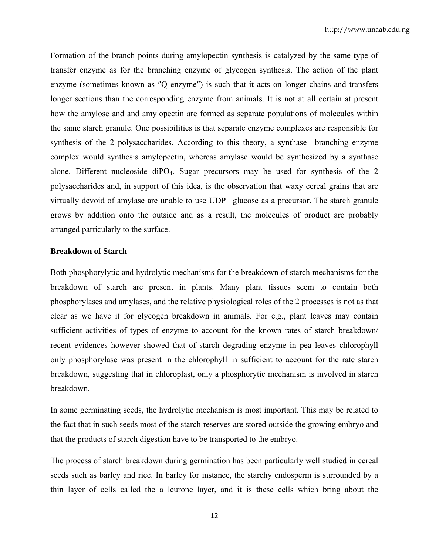Formation of the branch points during amylopectin synthesis is catalyzed by the same type of transfer enzyme as for the branching enzyme of glycogen synthesis. The action of the plant enzyme (sometimes known as ″Q enzyme″) is such that it acts on longer chains and transfers longer sections than the corresponding enzyme from animals. It is not at all certain at present how the amylose and and amylopectin are formed as separate populations of molecules within the same starch granule. One possibilities is that separate enzyme complexes are responsible for synthesis of the 2 polysaccharides. According to this theory, a synthase –branching enzyme complex would synthesis amylopectin, whereas amylase would be synthesized by a synthase alone. Different nucleoside diPO4. Sugar precursors may be used for synthesis of the 2 polysaccharides and, in support of this idea, is the observation that waxy cereal grains that are virtually devoid of amylase are unable to use UDP –glucose as a precursor. The starch granule grows by addition onto the outside and as a result, the molecules of product are probably arranged particularly to the surface.

## **Breakdown of Starch**

Both phosphorylytic and hydrolytic mechanisms for the breakdown of starch mechanisms for the breakdown of starch are present in plants. Many plant tissues seem to contain both phosphorylases and amylases, and the relative physiological roles of the 2 processes is not as that clear as we have it for glycogen breakdown in animals. For e.g., plant leaves may contain sufficient activities of types of enzyme to account for the known rates of starch breakdown/ recent evidences however showed that of starch degrading enzyme in pea leaves chlorophyll only phosphorylase was present in the chlorophyll in sufficient to account for the rate starch breakdown, suggesting that in chloroplast, only a phosphorytic mechanism is involved in starch breakdown.

In some germinating seeds, the hydrolytic mechanism is most important. This may be related to the fact that in such seeds most of the starch reserves are stored outside the growing embryo and that the products of starch digestion have to be transported to the embryo.

The process of starch breakdown during germination has been particularly well studied in cereal seeds such as barley and rice. In barley for instance, the starchy endosperm is surrounded by a thin layer of cells called the a leurone layer, and it is these cells which bring about the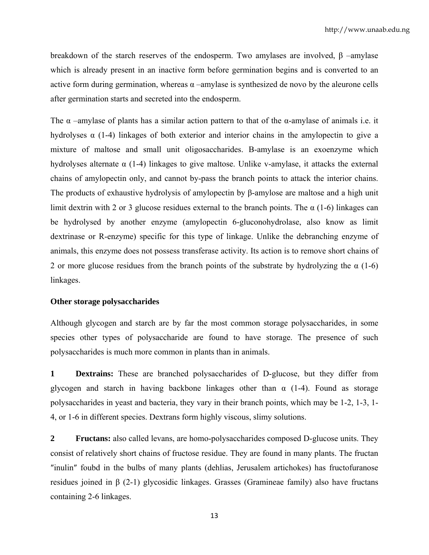breakdown of the starch reserves of the endosperm. Two amylases are involved, β –amylase which is already present in an inactive form before germination begins and is converted to an active form during germination, whereas  $\alpha$  –amylase is synthesized de novo by the aleurone cells after germination starts and secreted into the endosperm.

The  $\alpha$  –amylase of plants has a similar action pattern to that of the  $\alpha$ -amylase of animals i.e. it hydrolyses  $\alpha$  (1-4) linkages of both exterior and interior chains in the amylopectin to give a mixture of maltose and small unit oligosaccharides. Β-amylase is an exoenzyme which hydrolyses alternate  $\alpha$  (1-4) linkages to give maltose. Unlike v-amylase, it attacks the external chains of amylopectin only, and cannot by-pass the branch points to attack the interior chains. The products of exhaustive hydrolysis of amylopectin by β-amylose are maltose and a high unit limit dextrin with 2 or 3 glucose residues external to the branch points. The  $\alpha$  (1-6) linkages can be hydrolysed by another enzyme (amylopectin 6-gluconohydrolase, also know as limit dextrinase or R-enzyme) specific for this type of linkage. Unlike the debranching enzyme of animals, this enzyme does not possess transferase activity. Its action is to remove short chains of 2 or more glucose residues from the branch points of the substrate by hydrolyzing the  $\alpha$  (1-6) linkages.

#### **Other storage polysaccharides**

Although glycogen and starch are by far the most common storage polysaccharides, in some species other types of polysaccharide are found to have storage. The presence of such polysaccharides is much more common in plants than in animals.

**1 Dextrains:** These are branched polysaccharides of D-glucose, but they differ from glycogen and starch in having backbone linkages other than  $\alpha$  (1-4). Found as storage polysaccharides in yeast and bacteria, they vary in their branch points, which may be 1-2, 1-3, 1- 4, or 1-6 in different species. Dextrans form highly viscous, slimy solutions.

**2 Fructans:** also called levans, are homo-polysaccharides composed D-glucose units. They consist of relatively short chains of fructose residue. They are found in many plants. The fructan ″inulin″ foubd in the bulbs of many plants (dehlias, Jerusalem artichokes) has fructofuranose residues joined in β (2-1) glycosidic linkages. Grasses (Gramineae family) also have fructans containing 2-6 linkages.

13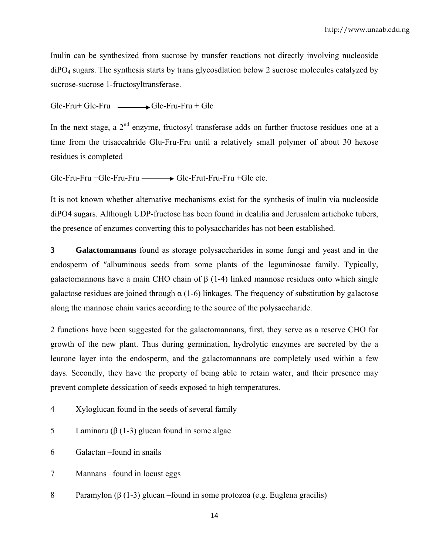Inulin can be synthesized from sucrose by transfer reactions not directly involving nucleoside diPO4 sugars. The synthesis starts by trans glycosdlation below 2 sucrose molecules catalyzed by sucrose-sucrose 1-fructosyltransferase.

 $Glc-Fru+Glc-Fru$   $\longrightarrow$   $Glc-Fru-Fru+Glc$ 

In the next stage, a  $2<sup>nd</sup>$  enzyme, fructosyl transferase adds on further fructose residues one at a time from the trisaccahride Glu-Fru-Fru until a relatively small polymer of about 30 hexose residues is completed

Glc-Fru-Fru +Glc-Fru-Fru — Glc-Frut-Fru-Fru +Glc etc.

It is not known whether alternative mechanisms exist for the synthesis of inulin via nucleoside diPO4 sugars. Although UDP-fructose has been found in dealilia and Jerusalem artichoke tubers, the presence of enzumes converting this to polysaccharides has not been established.

**3 Galactomannans** found as storage polysaccharides in some fungi and yeast and in the endosperm of ″albuminous seeds from some plants of the leguminosae family. Typically, galactomannons have a main CHO chain of β (1-4) linked mannose residues onto which single galactose residues are joined through  $\alpha$  (1-6) linkages. The frequency of substitution by galactose along the mannose chain varies according to the source of the polysaccharide.

2 functions have been suggested for the galactomannans, first, they serve as a reserve CHO for growth of the new plant. Thus during germination, hydrolytic enzymes are secreted by the a leurone layer into the endosperm, and the galactomannans are completely used within a few days. Secondly, they have the property of being able to retain water, and their presence may prevent complete dessication of seeds exposed to high temperatures.

- 4 Xyloglucan found in the seeds of several family
- 5 Laminaru (β (1-3) glucan found in some algae
- 6 Galactan –found in snails
- 7 Mannans –found in locust eggs
- 8 Paramylon (β (1-3) glucan –found in some protozoa (e.g. Euglena gracilis)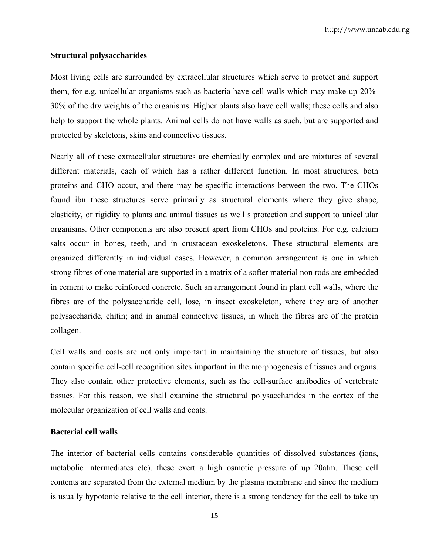# **Structural polysaccharides**

Most living cells are surrounded by extracellular structures which serve to protect and support them, for e.g. unicellular organisms such as bacteria have cell walls which may make up 20%- 30% of the dry weights of the organisms. Higher plants also have cell walls; these cells and also help to support the whole plants. Animal cells do not have walls as such, but are supported and protected by skeletons, skins and connective tissues.

Nearly all of these extracellular structures are chemically complex and are mixtures of several different materials, each of which has a rather different function. In most structures, both proteins and CHO occur, and there may be specific interactions between the two. The CHOs found ibn these structures serve primarily as structural elements where they give shape, elasticity, or rigidity to plants and animal tissues as well s protection and support to unicellular organisms. Other components are also present apart from CHOs and proteins. For e.g. calcium salts occur in bones, teeth, and in crustacean exoskeletons. These structural elements are organized differently in individual cases. However, a common arrangement is one in which strong fibres of one material are supported in a matrix of a softer material non rods are embedded in cement to make reinforced concrete. Such an arrangement found in plant cell walls, where the fibres are of the polysaccharide cell, lose, in insect exoskeleton, where they are of another polysaccharide, chitin; and in animal connective tissues, in which the fibres are of the protein collagen.

Cell walls and coats are not only important in maintaining the structure of tissues, but also contain specific cell-cell recognition sites important in the morphogenesis of tissues and organs. They also contain other protective elements, such as the cell-surface antibodies of vertebrate tissues. For this reason, we shall examine the structural polysaccharides in the cortex of the molecular organization of cell walls and coats.

## **Bacterial cell walls**

The interior of bacterial cells contains considerable quantities of dissolved substances (ions, metabolic intermediates etc). these exert a high osmotic pressure of up 20atm. These cell contents are separated from the external medium by the plasma membrane and since the medium is usually hypotonic relative to the cell interior, there is a strong tendency for the cell to take up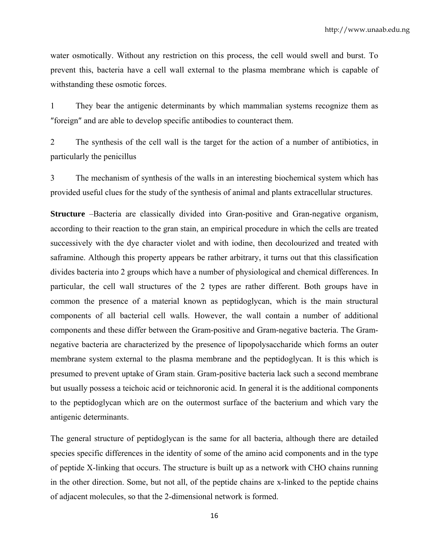water osmotically. Without any restriction on this process, the cell would swell and burst. To prevent this, bacteria have a cell wall external to the plasma membrane which is capable of withstanding these osmotic forces.

1 They bear the antigenic determinants by which mammalian systems recognize them as ″foreign″ and are able to develop specific antibodies to counteract them.

2 The synthesis of the cell wall is the target for the action of a number of antibiotics, in particularly the penicillus

3 The mechanism of synthesis of the walls in an interesting biochemical system which has provided useful clues for the study of the synthesis of animal and plants extracellular structures.

**Structure** –Bacteria are classically divided into Gran-positive and Gran-negative organism, according to their reaction to the gran stain, an empirical procedure in which the cells are treated successively with the dye character violet and with iodine, then decolourized and treated with saframine. Although this property appears be rather arbitrary, it turns out that this classification divides bacteria into 2 groups which have a number of physiological and chemical differences. In particular, the cell wall structures of the 2 types are rather different. Both groups have in common the presence of a material known as peptidoglycan, which is the main structural components of all bacterial cell walls. However, the wall contain a number of additional components and these differ between the Gram-positive and Gram-negative bacteria. The Gramnegative bacteria are characterized by the presence of lipopolysaccharide which forms an outer membrane system external to the plasma membrane and the peptidoglycan. It is this which is presumed to prevent uptake of Gram stain. Gram-positive bacteria lack such a second membrane but usually possess a teichoic acid or teichnoronic acid. In general it is the additional components to the peptidoglycan which are on the outermost surface of the bacterium and which vary the antigenic determinants.

The general structure of peptidoglycan is the same for all bacteria, although there are detailed species specific differences in the identity of some of the amino acid components and in the type of peptide X-linking that occurs. The structure is built up as a network with CHO chains running in the other direction. Some, but not all, of the peptide chains are x-linked to the peptide chains of adjacent molecules, so that the 2-dimensional network is formed.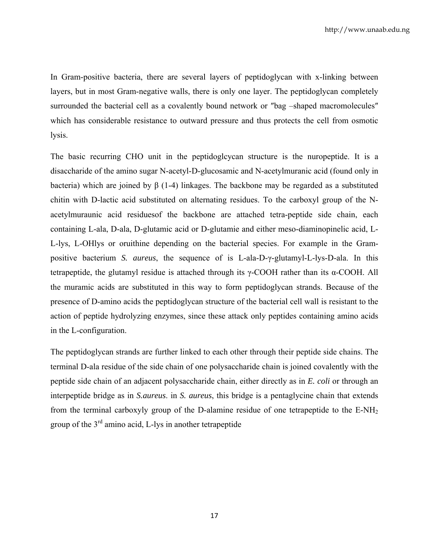In Gram-positive bacteria, there are several layers of peptidoglycan with x-linking between layers, but in most Gram-negative walls, there is only one layer. The peptidoglycan completely surrounded the bacterial cell as a covalently bound network or "bag –shaped macromolecules" which has considerable resistance to outward pressure and thus protects the cell from osmotic lysis.

The basic recurring CHO unit in the peptidoglcycan structure is the nuropeptide. It is a disaccharide of the amino sugar N-acetyl-D-glucosamic and N-acetylmuranic acid (found only in bacteria) which are joined by β (1-4) linkages. The backbone may be regarded as a substituted chitin with D-lactic acid substituted on alternating residues. To the carboxyl group of the Nacetylmuraunic acid residuesof the backbone are attached tetra-peptide side chain, each containing L-ala, D-ala, D-glutamic acid or D-glutamie and either meso-diaminopinelic acid, L-L-lys, L-OHlys or oruithine depending on the bacterial species. For example in the Grampositive bacterium *S. aureus*, the sequence of is L-ala-D-γ-glutamyl-L-lys-D-ala. In this tetrapeptide, the glutamyl residue is attached through its γ-COOH rather than its α-COOH. All the muramic acids are substituted in this way to form peptidoglycan strands. Because of the presence of D-amino acids the peptidoglycan structure of the bacterial cell wall is resistant to the action of peptide hydrolyzing enzymes, since these attack only peptides containing amino acids in the L-configuration.

The peptidoglycan strands are further linked to each other through their peptide side chains. The terminal D-ala residue of the side chain of one polysaccharide chain is joined covalently with the peptide side chain of an adjacent polysaccharide chain, either directly as in *E. coli* or through an interpeptide bridge as in *S.aureus*. in *S. aureus*, this bridge is a pentaglycine chain that extends from the terminal carboxyly group of the D-alamine residue of one tetrapeptide to the  $E-NH<sub>2</sub>$ group of the  $3<sup>rd</sup>$  amino acid, L-lys in another tetrapeptide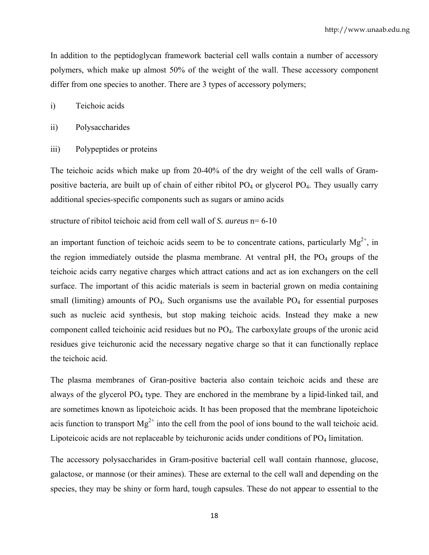In addition to the peptidoglycan framework bacterial cell walls contain a number of accessory polymers, which make up almost 50% of the weight of the wall. These accessory component differ from one species to another. There are 3 types of accessory polymers;

- i) Teichoic acids
- ii) Polysaccharides
- iii) Polypeptides or proteins

The teichoic acids which make up from 20-40% of the dry weight of the cell walls of Grampositive bacteria, are built up of chain of either ribitol  $PO<sub>4</sub>$  or glycerol  $PO<sub>4</sub>$ . They usually carry additional species-specific components such as sugars or amino acids

structure of ribitol teichoic acid from cell wall of *S. aureus* n= 6-10

an important function of teichoic acids seem to be to concentrate cations, particularly  $Mg^{2+}$ , in the region immediately outside the plasma membrane. At ventral  $pH$ , the  $PO<sub>4</sub>$  groups of the teichoic acids carry negative charges which attract cations and act as ion exchangers on the cell surface. The important of this acidic materials is seem in bacterial grown on media containing small (limiting) amounts of PO<sub>4</sub>. Such organisms use the available PO<sub>4</sub> for essential purposes such as nucleic acid synthesis, but stop making teichoic acids. Instead they make a new component called teichoinic acid residues but no PO4. The carboxylate groups of the uronic acid residues give teichuronic acid the necessary negative charge so that it can functionally replace the teichoic acid.

The plasma membranes of Gran-positive bacteria also contain teichoic acids and these are always of the glycerol PO4 type. They are enchored in the membrane by a lipid-linked tail, and are sometimes known as lipoteichoic acids. It has been proposed that the membrane lipoteichoic acis function to transport  $Mg^{2+}$  into the cell from the pool of ions bound to the wall teichoic acid. Lipoteicoic acids are not replaceable by teichuronic acids under conditions of PO<sub>4</sub> limitation.

The accessory polysaccharides in Gram-positive bacterial cell wall contain rhannose, glucose, galactose, or mannose (or their amines). These are external to the cell wall and depending on the species, they may be shiny or form hard, tough capsules. These do not appear to essential to the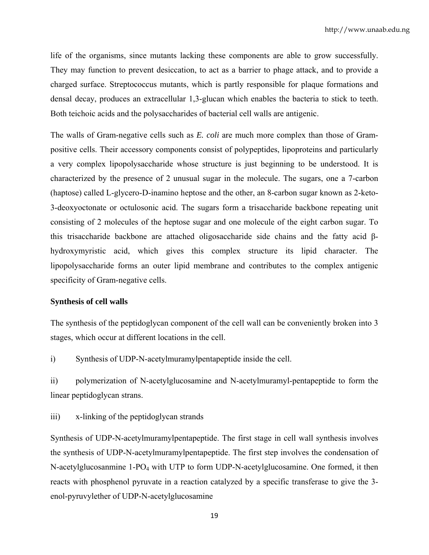life of the organisms, since mutants lacking these components are able to grow successfully. They may function to prevent desiccation, to act as a barrier to phage attack, and to provide a charged surface. Streptococcus mutants, which is partly responsible for plaque formations and densal decay, produces an extracellular 1,3-glucan which enables the bacteria to stick to teeth. Both teichoic acids and the polysaccharides of bacterial cell walls are antigenic.

The walls of Gram-negative cells such as *E. coli* are much more complex than those of Grampositive cells. Their accessory components consist of polypeptides, lipoproteins and particularly a very complex lipopolysaccharide whose structure is just beginning to be understood. It is characterized by the presence of 2 unusual sugar in the molecule. The sugars, one a 7-carbon (haptose) called L-glycero-D-inamino heptose and the other, an 8-carbon sugar known as 2-keto-3-deoxyoctonate or octulosonic acid. The sugars form a trisaccharide backbone repeating unit consisting of 2 molecules of the heptose sugar and one molecule of the eight carbon sugar. To this trisaccharide backbone are attached oligosaccharide side chains and the fatty acid βhydroxymyristic acid, which gives this complex structure its lipid character. The lipopolysaccharide forms an outer lipid membrane and contributes to the complex antigenic specificity of Gram-negative cells.

## **Synthesis of cell walls**

The synthesis of the peptidoglycan component of the cell wall can be conveniently broken into 3 stages, which occur at different locations in the cell.

i) Synthesis of UDP-N-acetylmuramylpentapeptide inside the cell.

ii) polymerization of N-acetylglucosamine and N-acetylmuramyl-pentapeptide to form the linear peptidoglycan strans.

iii) x-linking of the peptidoglycan strands

Synthesis of UDP-N-acetylmuramylpentapeptide. The first stage in cell wall synthesis involves the synthesis of UDP-N-acetylmuramylpentapeptide. The first step involves the condensation of N-acetylglucosanmine 1-PO4 with UTP to form UDP-N-acetylglucosamine. One formed, it then reacts with phosphenol pyruvate in a reaction catalyzed by a specific transferase to give the 3 enol-pyruvylether of UDP-N-acetylglucosamine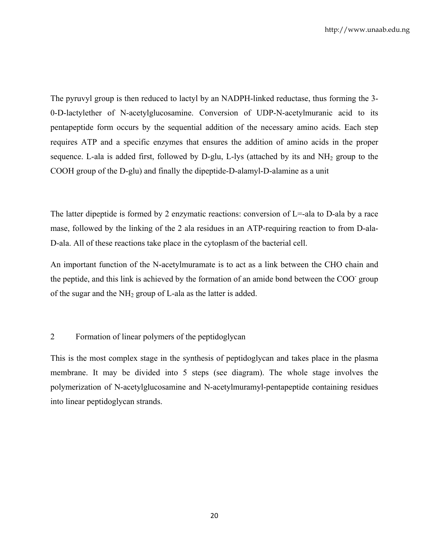The pyruvyl group is then reduced to lactyl by an NADPH-linked reductase, thus forming the 3- 0-D-lactylether of N-acetylglucosamine. Conversion of UDP-N-acetylmuranic acid to its pentapeptide form occurs by the sequential addition of the necessary amino acids. Each step requires ATP and a specific enzymes that ensures the addition of amino acids in the proper sequence. L-ala is added first, followed by D-glu, L-lys (attached by its and  $NH<sub>2</sub>$  group to the COOH group of the D-glu) and finally the dipeptide-D-alamyl-D-alamine as a unit

The latter dipeptide is formed by 2 enzymatic reactions: conversion of  $L = -aIa$  to D-ala by a race mase, followed by the linking of the 2 ala residues in an ATP-requiring reaction to from D-ala-D-ala. All of these reactions take place in the cytoplasm of the bacterial cell.

An important function of the N-acetylmuramate is to act as a link between the CHO chain and the peptide, and this link is achieved by the formation of an amide bond between the COO group of the sugar and the  $NH_2$  group of L-ala as the latter is added.

## 2 Formation of linear polymers of the peptidoglycan

This is the most complex stage in the synthesis of peptidoglycan and takes place in the plasma membrane. It may be divided into 5 steps (see diagram). The whole stage involves the polymerization of N-acetylglucosamine and N-acetylmuramyl-pentapeptide containing residues into linear peptidoglycan strands.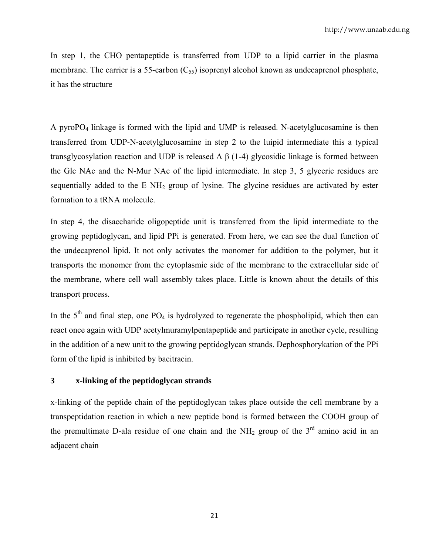In step 1, the CHO pentapeptide is transferred from UDP to a lipid carrier in the plasma membrane. The carrier is a 55-carbon  $(C_{55})$  isoprenyl alcohol known as undecaprenol phosphate, it has the structure

A pyroPO4 linkage is formed with the lipid and UMP is released. N-acetylglucosamine is then transferred from UDP-N-acetylglucosamine in step 2 to the luipid intermediate this a typical transglycosylation reaction and UDP is released A  $β$  (1-4) glycosidic linkage is formed between the Glc NAc and the N-Mur NAc of the lipid intermediate. In step 3, 5 glyceric residues are sequentially added to the E  $NH<sub>2</sub>$  group of lysine. The glycine residues are activated by ester formation to a tRNA molecule.

In step 4, the disaccharide oligopeptide unit is transferred from the lipid intermediate to the growing peptidoglycan, and lipid PPi is generated. From here, we can see the dual function of the undecaprenol lipid. It not only activates the monomer for addition to the polymer, but it transports the monomer from the cytoplasmic side of the membrane to the extracellular side of the membrane, where cell wall assembly takes place. Little is known about the details of this transport process.

In the  $5<sup>th</sup>$  and final step, one PO<sub>4</sub> is hydrolyzed to regenerate the phospholipid, which then can react once again with UDP acetylmuramylpentapeptide and participate in another cycle, resulting in the addition of a new unit to the growing peptidoglycan strands. Dephosphorykation of the PPi form of the lipid is inhibited by bacitracin.

# **3 x-linking of the peptidoglycan strands**

x-linking of the peptide chain of the peptidoglycan takes place outside the cell membrane by a transpeptidation reaction in which a new peptide bond is formed between the COOH group of the premultimate D-ala residue of one chain and the NH<sub>2</sub> group of the  $3<sup>rd</sup>$  amino acid in an adjacent chain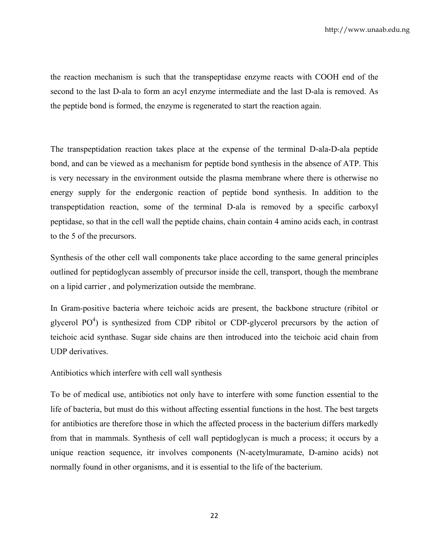the reaction mechanism is such that the transpeptidase enzyme reacts with COOH end of the second to the last D-ala to form an acyl enzyme intermediate and the last D-ala is removed. As the peptide bond is formed, the enzyme is regenerated to start the reaction again.

The transpeptidation reaction takes place at the expense of the terminal D-ala-D-ala peptide bond, and can be viewed as a mechanism for peptide bond synthesis in the absence of ATP. This is very necessary in the environment outside the plasma membrane where there is otherwise no energy supply for the endergonic reaction of peptide bond synthesis. In addition to the transpeptidation reaction, some of the terminal D-ala is removed by a specific carboxyl peptidase, so that in the cell wall the peptide chains, chain contain 4 amino acids each, in contrast to the 5 of the precursors.

Synthesis of the other cell wall components take place according to the same general principles outlined for peptidoglycan assembly of precursor inside the cell, transport, though the membrane on a lipid carrier , and polymerization outside the membrane.

In Gram-positive bacteria where teichoic acids are present, the backbone structure (ribitol or glycerol  $PO<sup>4</sup>$ ) is synthesized from CDP ribitol or CDP-glycerol precursors by the action of teichoic acid synthase. Sugar side chains are then introduced into the teichoic acid chain from UDP derivatives.

Antibiotics which interfere with cell wall synthesis

To be of medical use, antibiotics not only have to interfere with some function essential to the life of bacteria, but must do this without affecting essential functions in the host. The best targets for antibiotics are therefore those in which the affected process in the bacterium differs markedly from that in mammals. Synthesis of cell wall peptidoglycan is much a process; it occurs by a unique reaction sequence, itr involves components (N-acetylmuramate, D-amino acids) not normally found in other organisms, and it is essential to the life of the bacterium.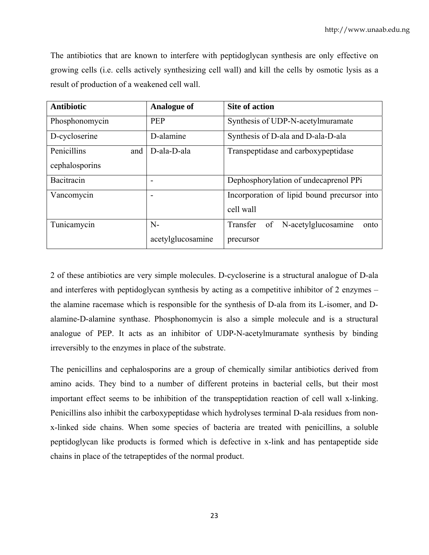The antibiotics that are known to interfere with peptidoglycan synthesis are only effective on growing cells (i.e. cells actively synthesizing cell wall) and kill the cells by osmotic lysis as a result of production of a weakened cell wall.

| <b>Antibiotic</b>  | <b>Analogue of</b> | <b>Site of action</b>                         |
|--------------------|--------------------|-----------------------------------------------|
| Phosphonomycin     | <b>PEP</b>         | Synthesis of UDP-N-acetylmuramate             |
| D-cycloserine      | D-alamine          | Synthesis of D-ala and D-ala-D-ala            |
| Penicillins<br>and | D-ala-D-ala        | Transpeptidase and carboxypeptidase           |
| cephalosporins     |                    |                                               |
| Bacitracin         | -                  | Dephosphorylation of undecaprenol PPi         |
| Vancomycin         |                    | Incorporation of lipid bound precursor into   |
|                    |                    | cell wall                                     |
| Tunicamycin        | $N-$               | N-acetylglucosamine<br>Transfer<br>of<br>onto |
|                    | acetylglucosamine  | precursor                                     |

2 of these antibiotics are very simple molecules. D-cycloserine is a structural analogue of D-ala and interferes with peptidoglycan synthesis by acting as a competitive inhibitor of 2 enzymes – the alamine racemase which is responsible for the synthesis of D-ala from its L-isomer, and Dalamine-D-alamine synthase. Phosphonomycin is also a simple molecule and is a structural analogue of PEP. It acts as an inhibitor of UDP-N-acetylmuramate synthesis by binding irreversibly to the enzymes in place of the substrate.

The penicillins and cephalosporins are a group of chemically similar antibiotics derived from amino acids. They bind to a number of different proteins in bacterial cells, but their most important effect seems to be inhibition of the transpeptidation reaction of cell wall x-linking. Penicillins also inhibit the carboxypeptidase which hydrolyses terminal D-ala residues from nonx-linked side chains. When some species of bacteria are treated with penicillins, a soluble peptidoglycan like products is formed which is defective in x-link and has pentapeptide side chains in place of the tetrapeptides of the normal product.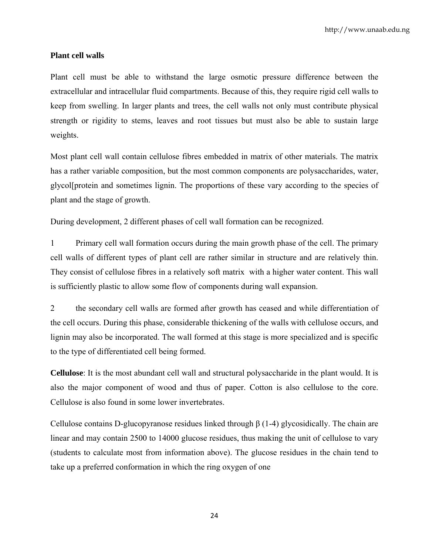## **Plant cell walls**

Plant cell must be able to withstand the large osmotic pressure difference between the extracellular and intracellular fluid compartments. Because of this, they require rigid cell walls to keep from swelling. In larger plants and trees, the cell walls not only must contribute physical strength or rigidity to stems, leaves and root tissues but must also be able to sustain large weights.

Most plant cell wall contain cellulose fibres embedded in matrix of other materials. The matrix has a rather variable composition, but the most common components are polysaccharides, water, glycol[protein and sometimes lignin. The proportions of these vary according to the species of plant and the stage of growth.

During development, 2 different phases of cell wall formation can be recognized.

1 Primary cell wall formation occurs during the main growth phase of the cell. The primary cell walls of different types of plant cell are rather similar in structure and are relatively thin. They consist of cellulose fibres in a relatively soft matrix with a higher water content. This wall is sufficiently plastic to allow some flow of components during wall expansion.

2 the secondary cell walls are formed after growth has ceased and while differentiation of the cell occurs. During this phase, considerable thickening of the walls with cellulose occurs, and lignin may also be incorporated. The wall formed at this stage is more specialized and is specific to the type of differentiated cell being formed.

**Cellulose**: It is the most abundant cell wall and structural polysaccharide in the plant would. It is also the major component of wood and thus of paper. Cotton is also cellulose to the core. Cellulose is also found in some lower invertebrates.

Cellulose contains D-glucopyranose residues linked through β (1-4) glycosidically. The chain are linear and may contain 2500 to 14000 glucose residues, thus making the unit of cellulose to vary (students to calculate most from information above). The glucose residues in the chain tend to take up a preferred conformation in which the ring oxygen of one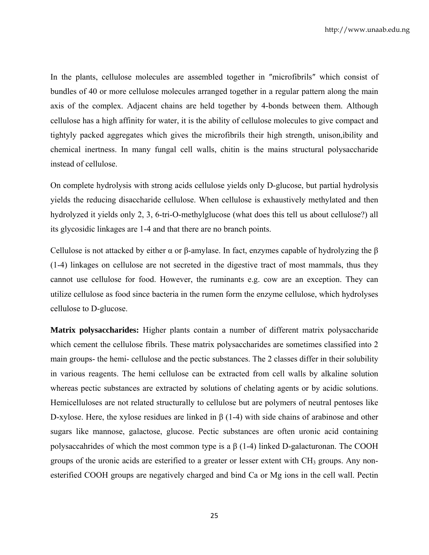In the plants, cellulose molecules are assembled together in ″microfibrils″ which consist of bundles of 40 or more cellulose molecules arranged together in a regular pattern along the main axis of the complex. Adjacent chains are held together by 4-bonds between them. Although cellulose has a high affinity for water, it is the ability of cellulose molecules to give compact and tightyly packed aggregates which gives the microfibrils their high strength, unison,ibility and chemical inertness. In many fungal cell walls, chitin is the mains structural polysaccharide instead of cellulose.

On complete hydrolysis with strong acids cellulose yields only D-glucose, but partial hydrolysis yields the reducing disaccharide cellulose. When cellulose is exhaustively methylated and then hydrolyzed it yields only 2, 3, 6-tri-O-methylglucose (what does this tell us about cellulose?) all its glycosidic linkages are 1-4 and that there are no branch points.

Cellulose is not attacked by either α or β-amylase. In fact, enzymes capable of hydrolyzing the β (1-4) linkages on cellulose are not secreted in the digestive tract of most mammals, thus they cannot use cellulose for food. However, the ruminants e.g. cow are an exception. They can utilize cellulose as food since bacteria in the rumen form the enzyme cellulose, which hydrolyses cellulose to D-glucose.

**Matrix polysaccharides:** Higher plants contain a number of different matrix polysaccharide which cement the cellulose fibrils. These matrix polysaccharides are sometimes classified into 2 main groups- the hemi- cellulose and the pectic substances. The 2 classes differ in their solubility in various reagents. The hemi cellulose can be extracted from cell walls by alkaline solution whereas pectic substances are extracted by solutions of chelating agents or by acidic solutions. Hemicelluloses are not related structurally to cellulose but are polymers of neutral pentoses like D-xylose. Here, the xylose residues are linked in β (1-4) with side chains of arabinose and other sugars like mannose, galactose, glucose. Pectic substances are often uronic acid containing polysaccahrides of which the most common type is a  $β$  (1-4) linked D-galacturonan. The COOH groups of the uronic acids are esterified to a greater or lesser extent with  $CH<sub>3</sub>$  groups. Any nonesterified COOH groups are negatively charged and bind Ca or Mg ions in the cell wall. Pectin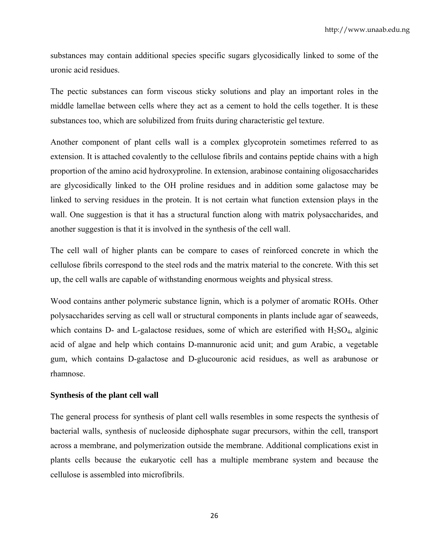substances may contain additional species specific sugars glycosidically linked to some of the uronic acid residues.

The pectic substances can form viscous sticky solutions and play an important roles in the middle lamellae between cells where they act as a cement to hold the cells together. It is these substances too, which are solubilized from fruits during characteristic gel texture.

Another component of plant cells wall is a complex glycoprotein sometimes referred to as extension. It is attached covalently to the cellulose fibrils and contains peptide chains with a high proportion of the amino acid hydroxyproline. In extension, arabinose containing oligosaccharides are glycosidically linked to the OH proline residues and in addition some galactose may be linked to serving residues in the protein. It is not certain what function extension plays in the wall. One suggestion is that it has a structural function along with matrix polysaccharides, and another suggestion is that it is involved in the synthesis of the cell wall.

The cell wall of higher plants can be compare to cases of reinforced concrete in which the cellulose fibrils correspond to the steel rods and the matrix material to the concrete. With this set up, the cell walls are capable of withstanding enormous weights and physical stress.

Wood contains anther polymeric substance lignin, which is a polymer of aromatic ROHs. Other polysaccharides serving as cell wall or structural components in plants include agar of seaweeds, which contains D- and L-galactose residues, some of which are esterified with  $H_2SO_4$ , alginic acid of algae and help which contains D-mannuronic acid unit; and gum Arabic, a vegetable gum, which contains D-galactose and D-glucouronic acid residues, as well as arabunose or rhamnose.

# **Synthesis of the plant cell wall**

The general process for synthesis of plant cell walls resembles in some respects the synthesis of bacterial walls, synthesis of nucleoside diphosphate sugar precursors, within the cell, transport across a membrane, and polymerization outside the membrane. Additional complications exist in plants cells because the eukaryotic cell has a multiple membrane system and because the cellulose is assembled into microfibrils.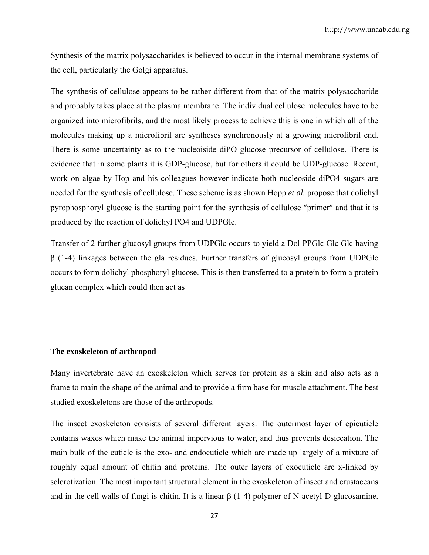Synthesis of the matrix polysaccharides is believed to occur in the internal membrane systems of the cell, particularly the Golgi apparatus.

The synthesis of cellulose appears to be rather different from that of the matrix polysaccharide and probably takes place at the plasma membrane. The individual cellulose molecules have to be organized into microfibrils, and the most likely process to achieve this is one in which all of the molecules making up a microfibril are syntheses synchronously at a growing microfibril end. There is some uncertainty as to the nucleoiside diPO glucose precursor of cellulose. There is evidence that in some plants it is GDP-glucose, but for others it could be UDP-glucose. Recent, work on algae by Hop and his colleagues however indicate both nucleoside diPO4 sugars are needed for the synthesis of cellulose. These scheme is as shown Hopp *et al.* propose that dolichyl pyrophosphoryl glucose is the starting point for the synthesis of cellulose ″primer″ and that it is produced by the reaction of dolichyl PO4 and UDPGlc.

Transfer of 2 further glucosyl groups from UDPGlc occurs to yield a Dol PPGlc Glc Glc having β (1-4) linkages between the gla residues. Further transfers of glucosyl groups from UDPGlc occurs to form dolichyl phosphoryl glucose. This is then transferred to a protein to form a protein glucan complex which could then act as

#### **The exoskeleton of arthropod**

Many invertebrate have an exoskeleton which serves for protein as a skin and also acts as a frame to main the shape of the animal and to provide a firm base for muscle attachment. The best studied exoskeletons are those of the arthropods.

The insect exoskeleton consists of several different layers. The outermost layer of epicuticle contains waxes which make the animal impervious to water, and thus prevents desiccation. The main bulk of the cuticle is the exo- and endocuticle which are made up largely of a mixture of roughly equal amount of chitin and proteins. The outer layers of exocuticle are x-linked by sclerotization. The most important structural element in the exoskeleton of insect and crustaceans and in the cell walls of fungi is chitin. It is a linear  $\beta$  (1-4) polymer of N-acetyl-D-glucosamine.